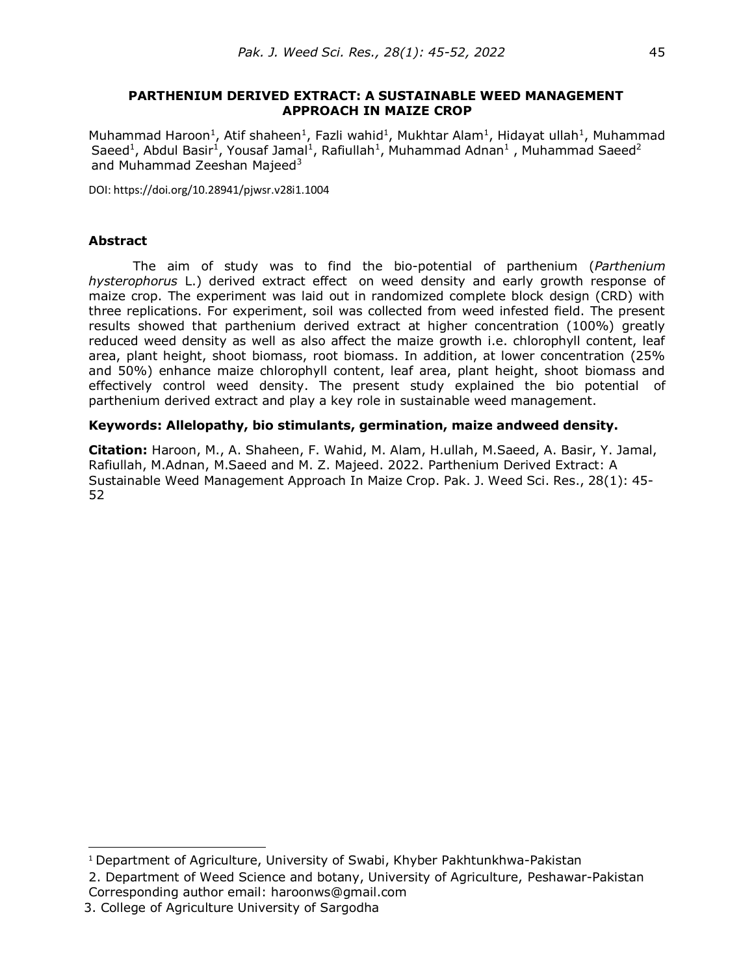### **PARTHENIUM DERIVED EXTRACT: A SUSTAINABLE WEED MANAGEMENT APPROACH IN MAIZE CROP**

Muhammad Haroon<sup>1</sup>, Atif shaheen<sup>1</sup>, Fazli wahid<sup>1</sup>, Mukhtar Alam<sup>1</sup>, Hidayat ullah<sup>1</sup>, Muhammad Saeed<sup>1</sup>, Abdul Basir<sup>1</sup>, Yousaf Jamal<sup>1</sup>, Rafiullah<sup>1</sup>, Muhammad Adnan<sup>1</sup>, Muhammad Saeed<sup>2</sup> and Muhammad Zeeshan Majeed<sup>3</sup>

DOI: https://doi.org/10.28941/pjwsr.v28i1.1004

## **Abstract**

The aim of study was to find the bio-potential of parthenium (*Parthenium hysterophorus* L.) derived extract effect on weed density and early growth response of maize crop. The experiment was laid out in randomized complete block design (CRD) with three replications. For experiment, soil was collected from weed infested field. The present results showed that parthenium derived extract at higher concentration (100%) greatly reduced weed density as well as also affect the maize growth i.e. chlorophyll content, leaf area, plant height, shoot biomass, root biomass. In addition, at lower concentration (25% and 50%) enhance maize chlorophyll content, leaf area, plant height, shoot biomass and effectively control weed density. The present study explained the bio potential of parthenium derived extract and play a key role in sustainable weed management.

### **Keywords: Allelopathy, bio stimulants, germination, maize andweed density.**

**Citation:** Haroon, M., A. Shaheen, F. Wahid, M. Alam, H.ullah, M.Saeed, A. Basir, Y. Jamal, Rafiullah, M.Adnan, M.Saeed and M. Z. Majeed. 2022. Parthenium Derived Extract: A Sustainable Weed Management Approach In Maize Crop. Pak. J. Weed Sci. Res., 28(1): 45- 52

<sup>&</sup>lt;sup>1</sup> Department of Agriculture, University of Swabi, Khyber Pakhtunkhwa-Pakistan

<sup>2.</sup> Department of Weed Science and botany, University of Agriculture, Peshawar-Pakistan Corresponding author email: [haroonws@gmail.com](mailto:haroonws@gmail.com)

 <sup>3.</sup> College of Agriculture University of Sargodha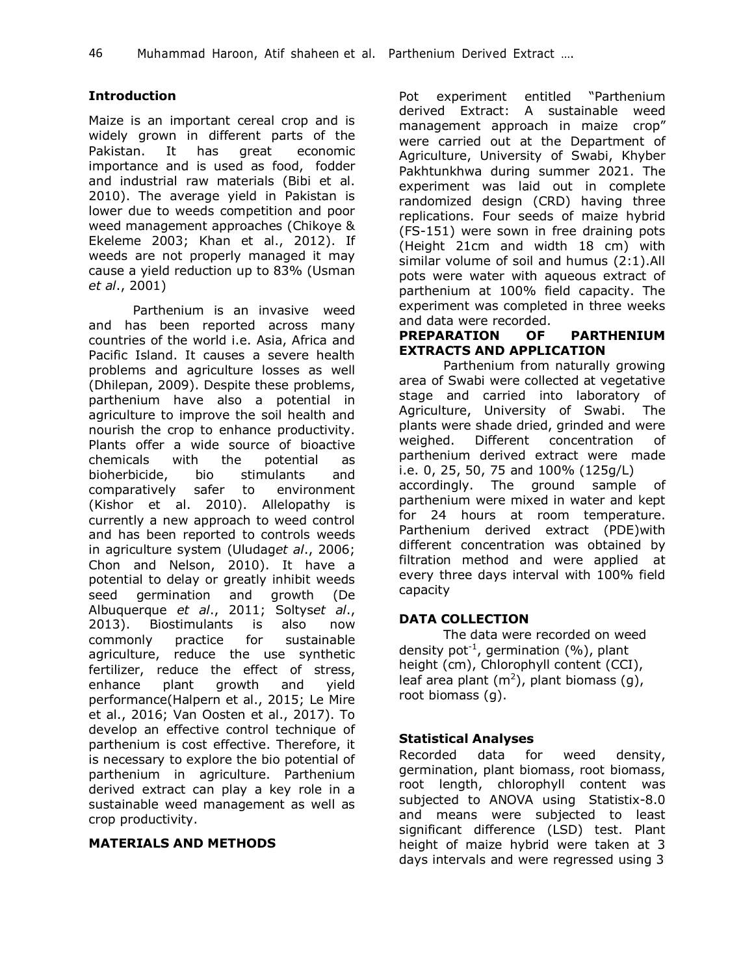# **Introduction**

Maize is an important cereal crop and is widely grown in different parts of the Pakistan. It has great economic importance and is used as food, fodder and industrial raw materials (Bibi et al. 2010). The average yield in Pakistan is lower due to weeds competition and poor weed management approaches (Chikoye & Ekeleme 2003; Khan et al., 2012). If weeds are not properly managed it may cause a yield reduction up to 83% (Usman *et al*., 2001)

Parthenium is an invasive weed and has been reported across many countries of the world i.e. Asia, Africa and Pacific Island. It causes a severe health problems and agriculture losses as well (Dhilepan, 2009). Despite these problems, parthenium have also a potential in agriculture to improve the soil health and nourish the crop to enhance productivity. Plants offer a wide source of bioactive chemicals with the potential as bioherbicide, bio stimulants and comparatively safer to environment (Kishor et al. 2010). Allelopathy is currently a new approach to weed control and has been reported to controls weeds in agriculture system (Uludag*et al*., 2006; Chon and Nelson, 2010). It have a potential to delay or greatly inhibit weeds seed germination and growth (De Albuquerque *et al*., 2011; Soltys*et al*., 2013). Biostimulants is also now commonly practice for sustainable agriculture, reduce the use synthetic fertilizer, reduce the effect of stress, enhance plant growth and yield performance(Halpern et al., 2015; Le Mire et al., 2016; Van Oosten et al., 2017). To develop an effective control technique of parthenium is cost effective. Therefore, it is necessary to explore the bio potential of parthenium in agriculture. Parthenium derived extract can play a key role in a sustainable weed management as well as crop productivity.

# **MATERIALS AND METHODS**

Pot experiment entitled "Parthenium derived Extract: A sustainable weed management approach in maize crop" were carried out at the Department of Agriculture, University of Swabi, Khyber Pakhtunkhwa during summer 2021. The experiment was laid out in complete randomized design (CRD) having three replications. Four seeds of maize hybrid (FS-151) were sown in free draining pots (Height 21cm and width 18 cm) with similar volume of soil and humus (2:1).All pots were water with aqueous extract of parthenium at 100% field capacity. The experiment was completed in three weeks and data were recorded.

## **PREPARATION OF PARTHENIUM EXTRACTS AND APPLICATION**

Parthenium from naturally growing area of Swabi were collected at vegetative stage and carried into laboratory of Agriculture, University of Swabi. The plants were shade dried, grinded and were weighed. Different concentration of parthenium derived extract were made i.e. 0, 25, 50, 75 and 100% (125g/L) accordingly. The ground sample of parthenium were mixed in water and kept for 24 hours at room temperature. Parthenium derived extract (PDE)with different concentration was obtained by filtration method and were applied at every three days interval with 100% field capacity

# **DATA COLLECTION**

The data were recorded on weed density pot<sup>-1</sup>, germination (%), plant height (cm), Chlorophyll content (CCI), leaf area plant (m<sup>2</sup>), plant biomass (g), root biomass (g).

## **Statistical Analyses**

Recorded data for weed density, germination, plant biomass, root biomass, root length, chlorophyll content was subjected to ANOVA using Statistix-8.0 and means were subjected to least significant difference (LSD) test. Plant height of maize hybrid were taken at 3 days intervals and were regressed using 3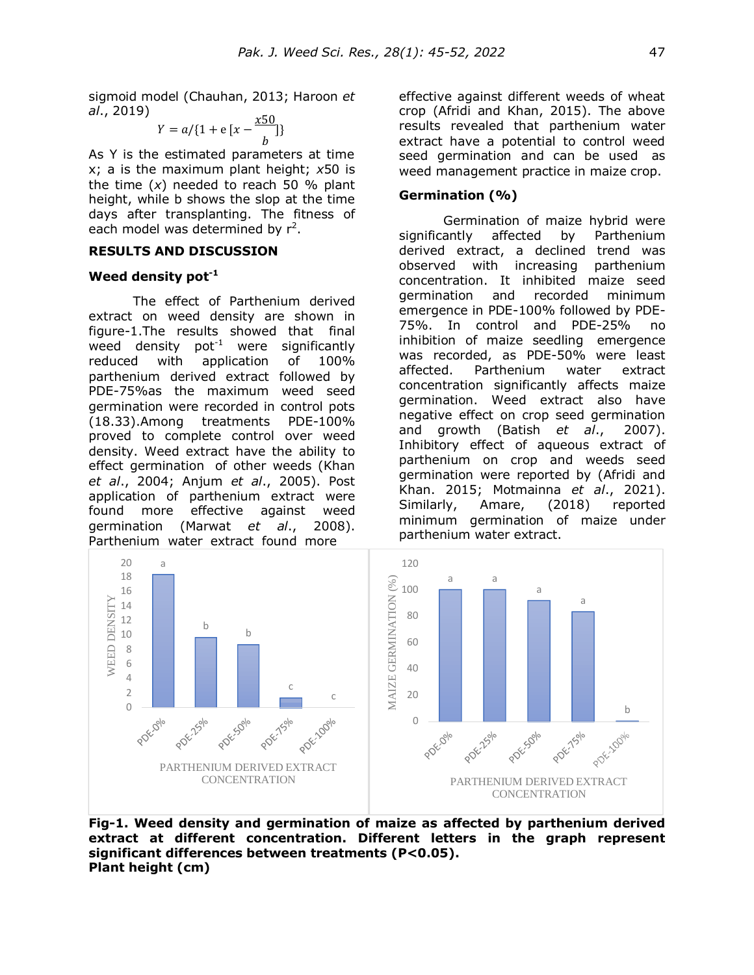sigmoid model (Chauhan, 2013; Haroon *et al*., 2019)

$$
Y = a / \{1 + e\left[x - \frac{x50}{b}\right]\}
$$

As Y is the estimated parameters at time x; a is the maximum plant height; *x*50 is the time (*x*) needed to reach 50 % plant height, while b shows the slop at the time days after transplanting. The fitness of each model was determined by  $r^2$ .

### **RESULTS AND DISCUSSION**

#### **Weed density pot-1**

The effect of Parthenium derived extract on weed density are shown in figure-1.The results showed that final weed density  $pot^{-1}$  were significantly reduced with application of 100% parthenium derived extract followed by PDE-75%as the maximum weed seed germination were recorded in control pots (18.33).Among treatments PDE-100% proved to complete control over weed density. Weed extract have the ability to effect germination of other weeds (Khan *et al*., 2004; Anjum *et al*., 2005). Post application of parthenium extract were found more effective against weed germination (Marwat *et al*., 2008). Parthenium water extract found more

effective against different weeds of wheat crop (Afridi and Khan, 2015). The above results revealed that parthenium water extract have a potential to control weed seed germination and can be used as weed management practice in maize crop.

## **Germination (%)**

Germination of maize hybrid were significantly affected by Parthenium derived extract, a declined trend was observed with increasing parthenium concentration. It inhibited maize seed germination and recorded minimum emergence in PDE-100% followed by PDE-75%. In control and PDE-25% no inhibition of maize seedling emergence was recorded, as PDE-50% were least affected. Parthenium water extract concentration significantly affects maize germination. Weed extract also have negative effect on crop seed germination and growth (Batish *et al*., 2007). Inhibitory effect of aqueous extract of parthenium on crop and weeds seed germination were reported by (Afridi and Khan. 2015; Motmainna *et al*., 2021). Similarly, Amare, (2018) reported minimum germination of maize under parthenium water extract.



**Fig-1. Weed density and germination of maize as affected by parthenium derived extract at different concentration. Different letters in the graph represent significant differences between treatments (P<0.05). Plant height (cm)**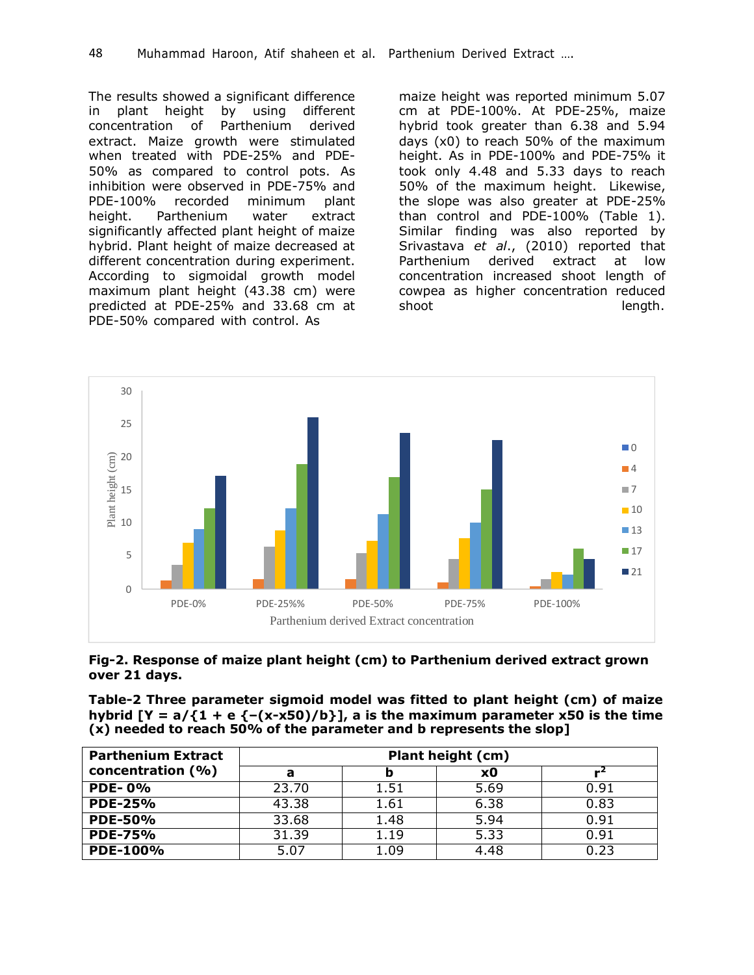The results showed a significant difference in plant height by using different concentration of Parthenium derived extract. Maize growth were stimulated when treated with PDE-25% and PDE-50% as compared to control pots. As inhibition were observed in PDE-75% and PDE-100% recorded minimum plant height. Parthenium water extract significantly affected plant height of maize hybrid. Plant height of maize decreased at different concentration during experiment. According to sigmoidal growth model maximum plant height (43.38 cm) were predicted at PDE-25% and 33.68 cm at PDE-50% compared with control. As

maize height was reported minimum 5.07 cm at PDE-100%. At PDE-25%, maize hybrid took greater than 6.38 and 5.94 days (x0) to reach 50% of the maximum height. As in PDE-100% and PDE-75% it took only 4.48 and 5.33 days to reach 50% of the maximum height. Likewise, the slope was also greater at PDE-25% than control and PDE-100% (Table 1). Similar finding was also reported by Srivastava *et al*., (2010) reported that Parthenium derived extract at low concentration increased shoot length of cowpea as higher concentration reduced shoot length.



**Fig-2. Response of maize plant height (cm) to Parthenium derived extract grown over 21 days.**

| Table-2 Three parameter sigmoid model was fitted to plant height (cm) of maize      |  |  |  |  |  |  |
|-------------------------------------------------------------------------------------|--|--|--|--|--|--|
| hybrid [Y = $a/\{1 + e\{-x-x50\}/b\}$ ], a is the maximum parameter x50 is the time |  |  |  |  |  |  |
| (x) needed to reach 50% of the parameter and b represents the slop]                 |  |  |  |  |  |  |

| <b>Parthenium Extract</b><br>concentration (%) | Plant height (cm) |      |      |      |  |
|------------------------------------------------|-------------------|------|------|------|--|
|                                                | а                 |      | x0   |      |  |
| <b>PDE-0%</b>                                  | 23.70             | 1.51 | 5.69 | 0.91 |  |
| <b>PDE-25%</b>                                 | 43.38             | 1.61 | 6.38 | 0.83 |  |
| <b>PDE-50%</b>                                 | 33.68             | 1.48 | 5.94 | 0.91 |  |
| <b>PDE-75%</b>                                 | 31.39             | 1.19 | 5.33 | 0.91 |  |
| <b>PDE-100%</b>                                | 5.07              | 1.09 | 4.48 | 0.23 |  |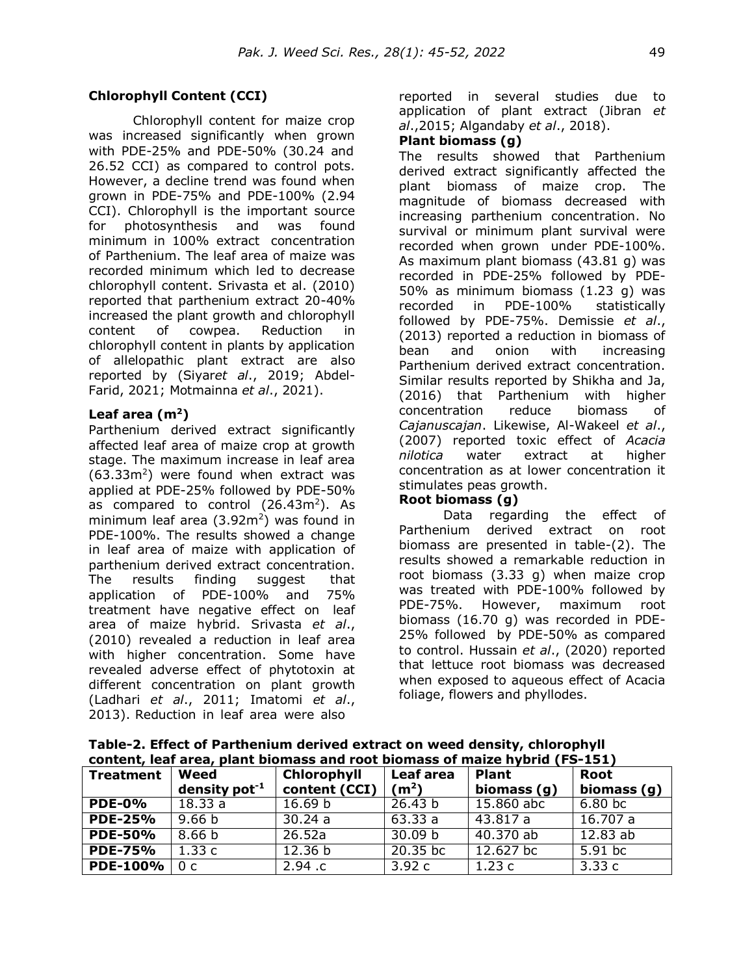### **Chlorophyll Content (CCI)**

Chlorophyll content for maize crop was increased significantly when grown with PDE-25% and PDE-50% (30.24 and 26.52 CCI) as compared to control pots. However, a decline trend was found when grown in PDE-75% and PDE-100% (2.94 CCI). Chlorophyll is the important source for photosynthesis and was found minimum in 100% extract concentration of Parthenium. The leaf area of maize was recorded minimum which led to decrease chlorophyll content. Srivasta et al. (2010) reported that parthenium extract 20-40% increased the plant growth and chlorophyll content of cowpea. Reduction in chlorophyll content in plants by application of allelopathic plant extract are also reported by (Siyar*et al*., 2019; Abdel-Farid, 2021; Motmainna *et al*., 2021).

## **Leaf area (m<sup>2</sup>)**

Parthenium derived extract significantly affected leaf area of maize crop at growth stage. The maximum increase in leaf area  $(63.33m<sup>2</sup>)$  were found when extract was applied at PDE-25% followed by PDE-50% as compared to control  $(26.43m^2)$ . As minimum leaf area  $(3.92m^2)$  was found in PDE-100%. The results showed a change in leaf area of maize with application of parthenium derived extract concentration. The results finding suggest that application of PDE-100% and 75% treatment have negative effect on leaf area of maize hybrid. Srivasta *et al*., (2010) revealed a reduction in leaf area with higher concentration. Some have revealed adverse effect of phytotoxin at different concentration on plant growth (Ladhari *et al*., 2011; Imatomi *et al*., 2013). Reduction in leaf area were also

reported in several studies due to application of plant extract (Jibran *et al*.,2015; Algandaby *et al*., 2018).

### **Plant biomass (g)**

The results showed that Parthenium derived extract significantly affected the plant biomass of maize crop. The magnitude of biomass decreased with increasing parthenium concentration. No survival or minimum plant survival were recorded when grown under PDE-100%. As maximum plant biomass (43.81 g) was recorded in PDE-25% followed by PDE-50% as minimum biomass (1.23 g) was recorded in PDE-100% statistically followed by PDE-75%. Demissie *et al*., (2013) reported a reduction in biomass of bean and onion with increasing Parthenium derived extract concentration. Similar results reported by Shikha and Ja, (2016) that Parthenium with higher concentration reduce biomass of *Cajanuscajan*. Likewise, Al-Wakeel *et al*., (2007) reported toxic effect of *Acacia nilotica* water extract at higher concentration as at lower concentration it stimulates peas growth.

### **Root biomass (g)**

Data regarding the effect of Parthenium derived extract on root biomass are presented in table-(2). The results showed a remarkable reduction in root biomass (3.33 g) when maize crop was treated with PDE-100% followed by PDE-75%. However, maximum root biomass (16.70 g) was recorded in PDE-25% followed by PDE-50% as compared to control. Hussain *et al*., (2020) reported that lettuce root biomass was decreased when exposed to aqueous effect of Acacia foliage, flowers and phyllodes.

**Table-2. Effect of Parthenium derived extract on weed density, chlorophyll content, leaf area, plant biomass and root biomass of maize hybrid (FS-151)**

| CONCIL, ICAI ALCA, DIANI DIVINASS ANU TOOL DIVINASS OF MAIZE HYDITU (1-3-131) |                     |                    |                   |                      |             |  |  |  |
|-------------------------------------------------------------------------------|---------------------|--------------------|-------------------|----------------------|-------------|--|--|--|
| <b>Treatment</b>                                                              | Weed                | Chlorophyll        | Leaf area         | <b>Plant</b>         | <b>Root</b> |  |  |  |
|                                                                               | density pot $^{-1}$ | content (CCI)      | (m <sup>2</sup> ) | biomass (g)          | biomass (g) |  |  |  |
| <b>PDE-0%</b>                                                                 | 18.33a              | 16.69 <sub>b</sub> | 26.43 b           | 15.860 abc           | 6.80 bc     |  |  |  |
| <b>PDE-25%</b>                                                                | 9.66 <sub>b</sub>   | 30.24a             | 63.33a            | 43.817a              | 16.707 a    |  |  |  |
| <b>PDE-50%</b>                                                                | 8.66 <sub>b</sub>   | 26.52a             | 30.09 b           | 40.370 ab            | 12.83ab     |  |  |  |
| <b>PDE-75%</b>                                                                | 1.33c               | 12.36 b            | $20.35$ bc        | 12.627 <sub>bc</sub> | $5.91$ bc   |  |  |  |
| <b>PDE-100%</b>                                                               | 0c                  | 2.94.c             | 3.92c             | 1.23c                | 3.33c       |  |  |  |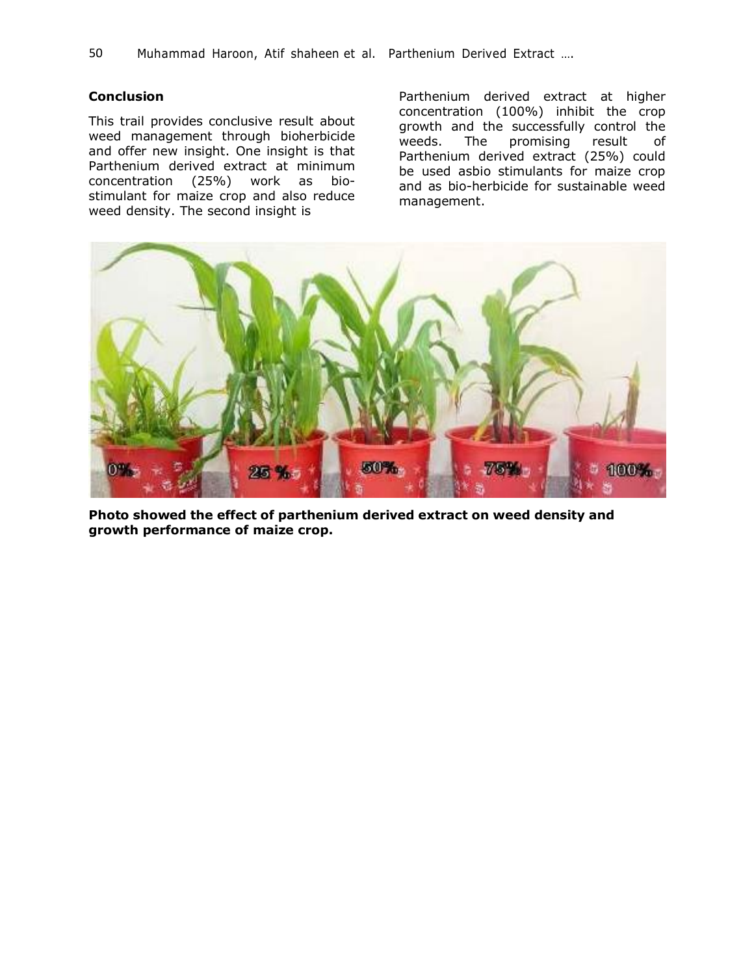# **Conclusion**

This trail provides conclusive result about weed management through bioherbicide and offer new insight. One insight is that Parthenium derived extract at minimum concentration (25%) work as biostimulant for maize crop and also reduce weed density. The second insight is

Parthenium derived extract at higher concentration (100%) inhibit the crop growth and the successfully control the weeds. The promising result of Parthenium derived extract (25%) could be used asbio stimulants for maize crop and as bio-herbicide for sustainable weed management.



**Photo showed the effect of parthenium derived extract on weed density and growth performance of maize crop.**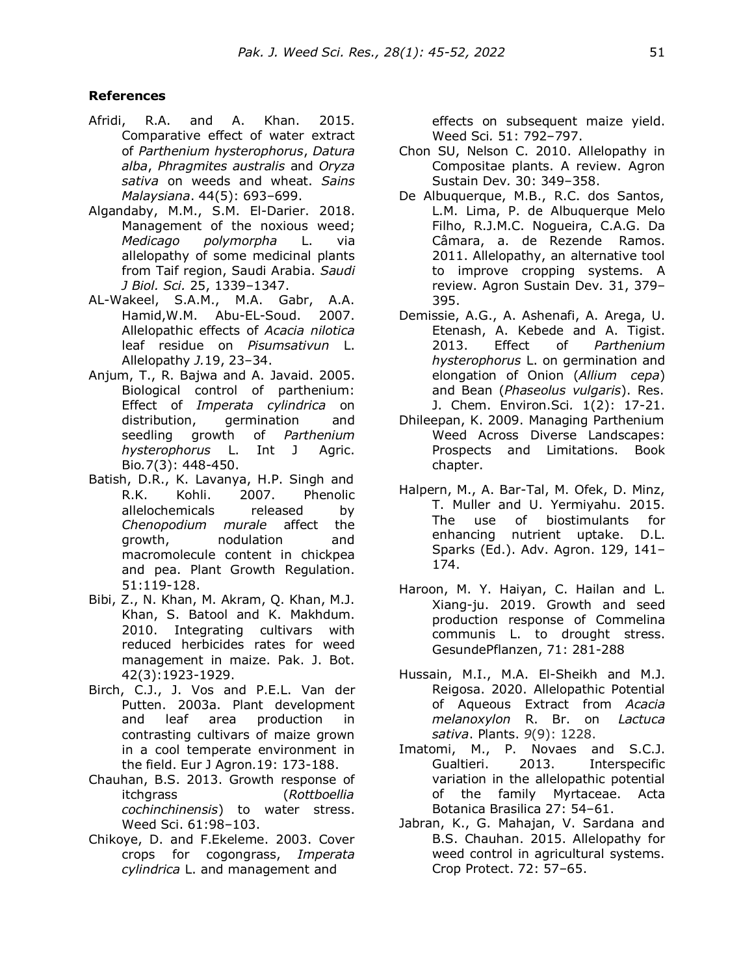### **References**

- Afridi, R.A. and A. Khan. 2015. Comparative effect of water extract of *Parthenium hysterophorus*, *Datura alba*, *Phragmites australis* and *Oryza sativa* on weeds and wheat. *Sains Malaysiana*. 44(5): 693–699.
- Algandaby, M.M., S.M. El-Darier. 2018. Management of the noxious weed; *Medicago polymorpha* L. via allelopathy of some medicinal plants from Taif region, Saudi Arabia. *Saudi J Biol. Sci.* 25, 1339–1347.
- AL-Wakeel, S.A.M., M.A. Gabr, A.A. Hamid,W.M. Abu-EL-Soud. 2007. Allelopathic effects of *Acacia nilotica* leaf residue on *Pisumsativun* L. Allelopathy *J.*19, 23–34.
- Anjum, T., R. Bajwa and A. Javaid. 2005. Biological control of parthenium: Effect of *Imperata cylindrica* on distribution, germination and seedling growth of *Parthenium hysterophorus* L. Int J Agric. Bio*.*7(3): 448-450.
- Batish, D.R., K. Lavanya, H.P. Singh and R.K. Kohli. 2007. Phenolic allelochemicals released by *Chenopodium murale* affect the growth, nodulation and macromolecule content in chickpea and pea. Plant Growth Regulation. 51:119-128.
- Bibi, Z., N. Khan, M. Akram, Q. Khan, M.J. Khan, S. Batool and K. Makhdum. 2010. Integrating cultivars with reduced herbicides rates for weed management in maize. Pak. J. Bot. 42(3):1923-1929.
- Birch, C.J., J. Vos and P.E.L. Van der Putten. 2003a. Plant development and leaf area production in contrasting cultivars of maize grown in a cool temperate environment in the field. Eur J Agron*.*19: 173-188.
- Chauhan, B.S. 2013. Growth response of itchgrass (*Rottboellia cochinchinensis*) to water stress. Weed Sci. 61:98–103.
- Chikoye, D. and F.Ekeleme. 2003. Cover crops for cogongrass, *Imperata cylindrica* L. and management and

effects on subsequent maize yield. Weed Sci*.* 51: 792–797.

- Chon SU, Nelson C. 2010. Allelopathy in Compositae plants. A review. Agron Sustain Dev*.* 30: 349–358.
- De Albuquerque, M.B., R.C. dos Santos, L.M. Lima, P. de Albuquerque Melo Filho, R.J.M.C. Nogueira, C.A.G. Da Câmara, a. de Rezende Ramos. 2011. Allelopathy, an alternative tool to improve cropping systems. A review. Agron Sustain Dev*.* 31, 379– 395.
- Demissie, A.G., A. Ashenafi, A. Arega, U. Etenash, A. Kebede and A. Tigist. 2013. Effect of *Parthenium hysterophorus* L. on germination and elongation of Onion (*Allium cepa*) and Bean (*Phaseolus vulgaris*). Res. J. Chem. Environ.Sci*.* 1(2): 17-21.
- Dhileepan, K. 2009. Managing Parthenium Weed Across Diverse Landscapes: Prospects and Limitations. Book chapter.
- Halpern, M., A. Bar-Tal, M. Ofek, D. Minz, T. Muller and U. Yermiyahu. 2015. The use of biostimulants for enhancing nutrient uptake. D.L. Sparks (Ed.). Adv. Agron. 129, 141– 174.
- Haroon, M. Y. Haiyan, C. Hailan and L. Xiang-ju. 2019. Growth and seed production response of Commelina communis L. to drought stress. GesundePflanzen, 71: 281-288
- Hussain, M.I., M.A. El-Sheikh and M.J. Reigosa. 2020. Allelopathic Potential of Aqueous Extract from *Acacia melanoxylon* R. Br. on *Lactuca sativa*. Plants. *9*(9): 1228.
- Imatomi, M., P. Novaes and S.C.J. Gualtieri. 2013. Interspecific variation in the allelopathic potential of the family Myrtaceae. Acta Botanica Brasilica 27: 54–61.
- Jabran, K., G. Mahajan, V. Sardana and B.S. Chauhan. 2015. Allelopathy for weed control in agricultural systems. Crop Protect. 72: 57–65.